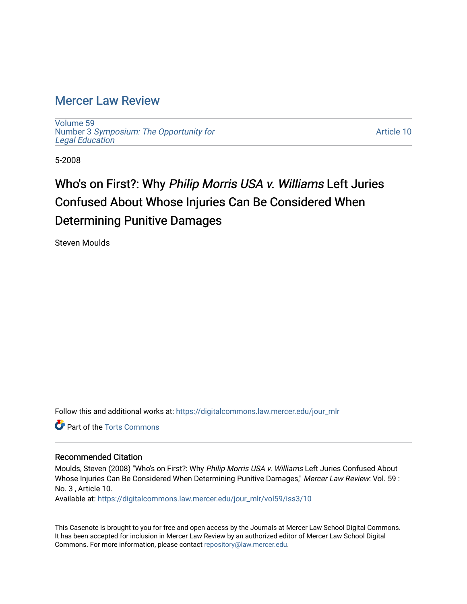## [Mercer Law Review](https://digitalcommons.law.mercer.edu/jour_mlr)

[Volume 59](https://digitalcommons.law.mercer.edu/jour_mlr/vol59) Number 3 [Symposium: The Opportunity for](https://digitalcommons.law.mercer.edu/jour_mlr/vol59/iss3) [Legal Education](https://digitalcommons.law.mercer.edu/jour_mlr/vol59/iss3)

[Article 10](https://digitalcommons.law.mercer.edu/jour_mlr/vol59/iss3/10) 

5-2008

# Who's on First?: Why Philip Morris USA v. Williams Left Juries Confused About Whose Injuries Can Be Considered When Determining Punitive Damages

Steven Moulds

Follow this and additional works at: [https://digitalcommons.law.mercer.edu/jour\\_mlr](https://digitalcommons.law.mercer.edu/jour_mlr?utm_source=digitalcommons.law.mercer.edu%2Fjour_mlr%2Fvol59%2Fiss3%2F10&utm_medium=PDF&utm_campaign=PDFCoverPages)

**Part of the [Torts Commons](http://network.bepress.com/hgg/discipline/913?utm_source=digitalcommons.law.mercer.edu%2Fjour_mlr%2Fvol59%2Fiss3%2F10&utm_medium=PDF&utm_campaign=PDFCoverPages)** 

#### Recommended Citation

Moulds, Steven (2008) "Who's on First?: Why Philip Morris USA v. Williams Left Juries Confused About Whose Injuries Can Be Considered When Determining Punitive Damages," Mercer Law Review: Vol. 59 : No. 3 , Article 10.

Available at: [https://digitalcommons.law.mercer.edu/jour\\_mlr/vol59/iss3/10](https://digitalcommons.law.mercer.edu/jour_mlr/vol59/iss3/10?utm_source=digitalcommons.law.mercer.edu%2Fjour_mlr%2Fvol59%2Fiss3%2F10&utm_medium=PDF&utm_campaign=PDFCoverPages) 

This Casenote is brought to you for free and open access by the Journals at Mercer Law School Digital Commons. It has been accepted for inclusion in Mercer Law Review by an authorized editor of Mercer Law School Digital Commons. For more information, please contact [repository@law.mercer.edu.](mailto:repository@law.mercer.edu)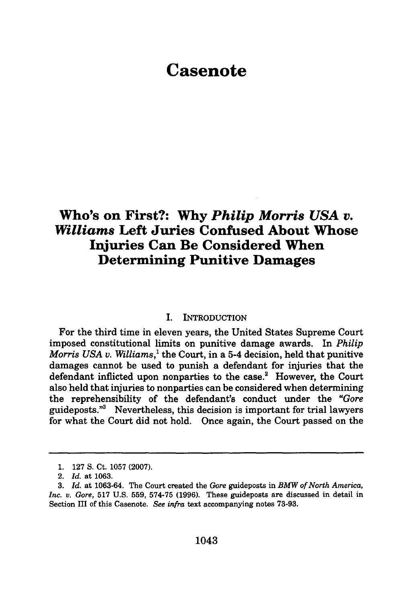## **Casenote**

### **Who's on First?: Why** *Philip Morris USA v. Williams* **Left Juries Confused About Whose Injuries Can Be Considered When Determining Punitive Damages**

#### I. INTRODUCTION

For the third time in eleven years, the United States Supreme Court imposed constitutional limits on punitive damage awards. In *Philip Morris USA v. Williams,'* the Court, in a 5-4 decision, held that punitive damages cannot be used to punish a defendant for injuries that the defendant inflicted upon nonparties to the case.<sup>2</sup> However, the Court also held that injuries to nonparties can be considered when determining the reprehensibility of the defendant's conduct under the *"Gore* guideposts."3 Nevertheless, this decision is important for trial lawyers for what the Court did not hold. Once again, the Court passed on the

**<sup>1. 127</sup> S.** Ct. **1057 (2007).**

<sup>2.</sup> *Id.* at **1063.**

**<sup>3.</sup>** *Id.* at **1063-64.** The Court created the *Gore* guideposts in *BMW of North America, Inc. v. Gore,* **517 U.S. 559, 574-75 (1996).** These guideposts are discussed in detail in Section III of this Casenote. *See infra* text accompanying notes **73-93.**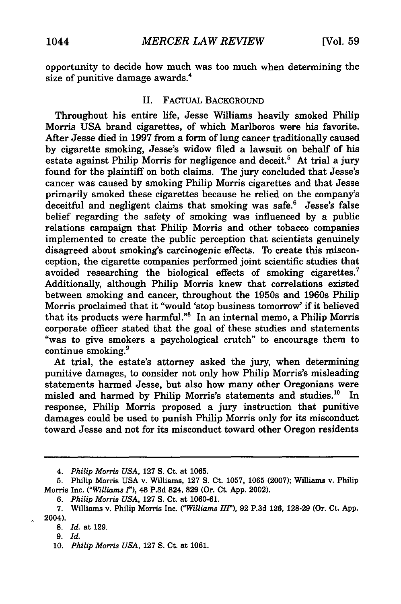opportunity to decide how much was too much when determining the size of punitive damage awards.<sup>4</sup>

#### II. FACTUAL BACKGROUND

Throughout his entire life, Jesse Williams heavily smoked Philip Morris USA brand cigarettes, of which Marlboros were his favorite. After Jesse died in 1997 from a form of lung cancer traditionally caused by cigarette smoking, Jesse's widow filed a lawsuit on behalf of his estate against Philip Morris for negligence and deceit.<sup>5</sup> At trial a jury found for the plaintiff on both claims. The jury concluded that Jesse's cancer was caused by smoking Philip Morris cigarettes and that Jesse primarily smoked these cigarettes because he relied on the company's deceitful and negligent claims that smoking was safe.<sup>6</sup> Jesse's false belief regarding the safety of smoking was influenced by a public relations campaign that Philip Morris and other tobacco companies implemented to create the public perception that scientists genuinely disagreed about smoking's carcinogenic effects. To create this misconception, the cigarette companies performed joint scientific studies that avoided researching the biological effects of smoking cigarettes.7 Additionally, although Philip Morris knew that correlations existed between smoking and cancer, throughout the 1950s and 1960s Philip Morris proclaimed that it "would 'stop business tomorrow' if it believed that its products were harmful."8 In an internal memo, a Philip Morris corporate officer stated that the goal of these studies and statements "was to give smokers a psychological crutch" to encourage them to continue smoking.9

At trial, the estate's attorney asked the jury, when determining punitive damages, to consider not only how Philip Morris's misleading statements harmed Jesse, but also how many other Oregonians were misled and harmed by Philip Morris's statements and studies.<sup>10</sup> In response, Philip Morris proposed a jury instruction that punitive damages could be used to punish Philip Morris only for its misconduct toward Jesse and not for its misconduct toward other Oregon residents

*<sup>4.</sup> Philip Morris USA,* 127 S. Ct. at 1065.

**<sup>5.</sup>** Philip Morris USA v. Williams, 127 S. Ct. 1057, 1065 (2007); Williams v. Philip Morris Inc. *("Williams 1"),* 48 **P.3d** 824, **829** (Or. Ct. **App.** 2002).

**<sup>6.</sup>** *Philip Morris USA,* **127 S.** Ct. at **1060-61.**

**<sup>7.</sup>** Williams v. Philip Morris Inc. *("Williams Iff'),* **92 P.3d 126, 128-29** (Or. Ct. **App.** 2004).

**<sup>8.</sup>** *Id.* at **129.**

<sup>9.</sup> *Id.*

<sup>10.</sup> *Philip Morris USA,* 127 S. Ct. at 1061.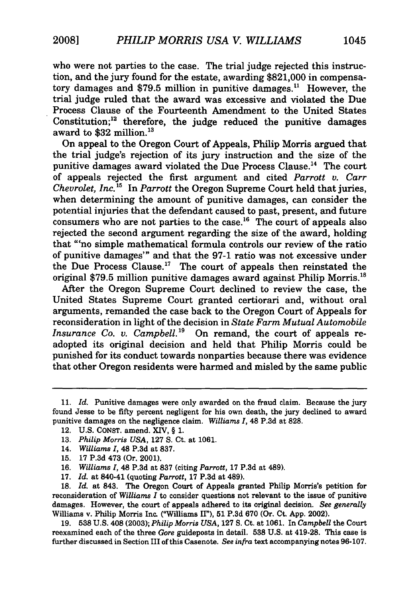who were not parties to the case. The trial judge rejected this instruction, and the jury found for the estate, awarding \$821,000 in compensatory damages and \$79.5 million in punitive damages.<sup>11</sup> However, the trial judge ruled that the award was excessive and violated the Due Process Clause of the Fourteenth Amendment to the United States Constitution; $^{12}$  therefore, the judge reduced the punitive damages award to  $$32$  million.<sup>13</sup>

On appeal to the Oregon Court of Appeals, Philip Morris argued that the trial judge's rejection of its jury instruction and the size of the punitive damages award violated the Due Process Clause.<sup>14</sup> The court of appeals rejected the first argument and cited *Parrott v. Carr Chevrolet, Inc. 15* In *Parrott* the Oregon Supreme Court held that juries, when determining the amount of punitive damages, can consider the potential injuries that the defendant caused to past, present, and future consumers who are not parties to the case.<sup>16</sup> The court of appeals also rejected the second argument regarding the size of the award, holding that "'no simple mathematical formula controls our review of the ratio of punitive damages'" and that the 97-1 ratio was not excessive under the Due Process Clause." The court of appeals then reinstated the original  $$79.5$  million punitive damages award against Philip Morris.<sup>18</sup>

After the Oregon Supreme Court declined to review the case, the United States Supreme Court granted certiorari and, without oral arguments, remanded the case back to the Oregon Court of Appeals for reconsideration in light of the decision in *State Farm Mutual Automobile Insurance Co. v. Campbell.19* On remand, the court of appeals readopted its original decision and held that Philip Morris could be punished for its conduct towards nonparties because there was evidence that other Oregon residents were harmed and misled by the same public

**18.** *Id.* at 843. The Oregon Court of Appeals granted Philip Morris's petition for reconsideration of *Williams I* to consider questions not relevant to the issue of punitive damages. However, the court of appeals adhered to its original decision. *See generally* Williams v. Philip Morris Inc. ("Williams II"), 51 P.3d 670 (Or. Ct. App. 2002).

19. **538** U.S. 408 (2003); *Philip Morris USA,* 127 S. Ct. at 1061. In *Campbell* the Court reexamined each of the three *Gore* guideposts in detail. **538** U.S. at 419-28. This case is further discussed in Section III of this Casenote. *See infra* text accompanying notes 96-107.

**<sup>11.</sup>** *Id.* Punitive damages were only awarded on the fraud claim. Because the jury found Jesse to be fifty percent negligent for his own death, the jury declined to award punitive damages on the negligence claim. *Williams 1,* 48 P.3d at 828.

<sup>12.</sup> U.S. CONST. amend. XIV, § 1.

<sup>13.</sup> *Philip Morris USA,* **127** S. Ct. at 1061.

<sup>14.</sup> *Williams I,* 48 P.3d at 837.

<sup>15. 17</sup> P.3d 473 (Or. 2001).

<sup>16.</sup> *Williams 1,* 48 P.3d at 837 (citing *Parrott,* 17 P.3d at 489).

<sup>17.</sup> *Id.* at 840-41 (quoting *Parrott,* 17 P.3d at 489).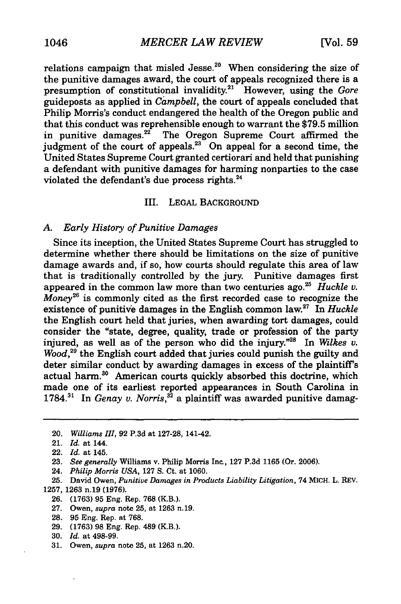relations campaign that misled Jesse.<sup>20</sup> When considering the size of the punitive damages award, the court of appeals recognized there is a presumption of constitutional invalidity.<sup>21</sup> However, using the *Gore* guideposts as applied in *Campbell,* the court of appeals concluded that Philip Morris's conduct endangered the health of the Oregon public and that this conduct was reprehensible enough to warrant the \$79.5 million in punitive damages.<sup>22</sup> The Oregon Supreme Court affirmed the judgment of the court of appeals.<sup>23</sup> On appeal for a second time, the United States Supreme Court granted certiorari and held that punishing a defendant with punitive damages for harming nonparties to the case violated the defendant's due process rights.<sup>24</sup>

#### III. LEGAL BACKGROUND

#### *A. Early History of Punitive Damages*

Since its inception, the United States Supreme Court has struggled to determine whether there should be limitations on the size of punitive damage awards and, if so, how courts should regulate this area of law that is traditionally controlled by the jury. Punitive damages first appeared in the common law more than two centuries ago.25 *Huckle v. Money26* is commonly cited as the first recorded case to recognize the existence of punitive damages in the English common law.27 In *Huckle* the English court held that juries, when awarding tort damages, could consider the "state, degree, quality, trade or profession of the party injured, as well as of the person who did the injury."25 In *Wilkes v. Wood,29* the English court added that juries could punish the guilty and deter similar conduct **by** awarding damages in excess of the plaintiff's actual harm.<sup>30</sup> American courts quickly absorbed this doctrine, which made one of its earliest reported appearances in South Carolina in **1784.<sup>3</sup> '** In *Genay v. Norris,32* a plaintiff was awarded punitive damag-

- 24. *Philip Morris USA,* 127 S. Ct. at 1060.
- 25. David Owen, *Punitive Damages in Products Liability Litigation,* 74 MICH. L. REV. 1257, 1263 n.19 (1976).
	- **26. (1763) 95** Eng. Rep. **768** (KB.).
	- 27. Owen, *supra* note 25, at 1263 n.19.
	- 28. 95 Eng. Rep. at 768.
	- 29. (1763) 98 Eng. Rep. 489 (KB.).
	- 30. *Id.* at 498-99.
	- 31. Owen, *supra* note 25, at 1263 n.20.

<sup>20.</sup> *Williams III,* **92 P.3d** at 127-28, 141-42.

<sup>21.</sup> *Id.* at 144.

<sup>22.</sup> *Id.* at 145.

**<sup>23.</sup>** *See generally* Williams v. Philip Morris Inc., **127** P.3d 1165 (Or. 2006).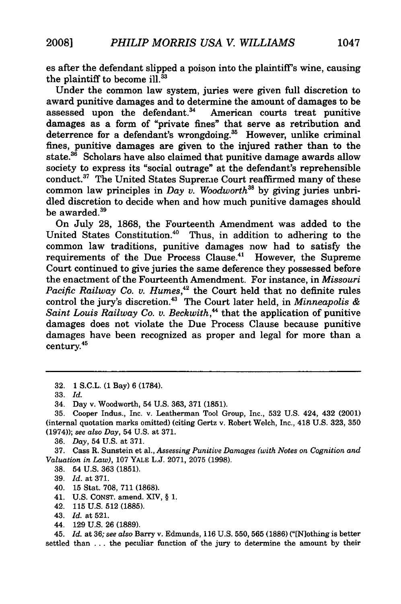es after the defendant slipped a poison into the plaintiff's wine, causing the plaintiff to become ill.<sup>33</sup>

Under the common law system, juries were given full discretion to award punitive damages and to determine the amount of damages to be assessed upon the defendant.<sup>34</sup> American courts treat punitive damages as a form of "private fines" that serve as retribution and deterrence for a defendant's wrongdoing.<sup>35</sup> However, unlike criminal fines, punitive damages are given to the injured rather than to the state.<sup>36</sup> Scholars have also claimed that punitive damage awards allow society to express its "social outrage" at the defendant's reprehensible conduct.<sup>37</sup> The United States Supreme Court reaffirmed many of these common law principles in *Day v. Woodworth"5* by giving juries unbridled discretion to decide when and how much punitive damages should be awarded.<sup>39</sup>

On July 28, 1868, the Fourteenth Amendment was added to the United States Constitution.<sup>40</sup> Thus, in addition to adhering to the common law traditions, punitive damages now had to satisfy the requirements of the Due Process Clause.<sup>41</sup> However, the Supreme Court continued to give juries the same deference they possessed before the enactment of the Fourteenth Amendment. For instance, in *Missouri* Pacific Railway Co. v. Humes,<sup>42</sup> the Court held that no definite rules control the jury's discretion. 43 The Court later held, in *Minneapolis & Saint Louis Railway Co. v. Beckwith,"* that the application of punitive damages does not violate the Due Process Clause because punitive damages have been recognized as proper and legal for more than a century.

37. Cass R. Sunstein et al., *Assessing Punitive Damages (with Notes on Cognition and Valuation in Law),* 107 **YALE** L.J. 2071, 2075 (1998).

38. 54 U.S. 363 **(1851).**

- 40. 15 Stat. 708, 711 (1868).
- 41. U.S. CONST. amend. XJV, § 1.
- 42. **115** U.S. 512 (1885).
- 43. *Id.* at 521.
- 44. 129 U.S. 26 (1889).

45. *Id.* at 36; *see also* Barry v. Edmunds, 116 U.S. 550, 565 (1886) ("[N]othing is better settled than . . . the peculiar function of the jury to determine the amount by their

<sup>32. 1</sup> S.C.L. (1 Bay) 6 (1784).

<sup>33.</sup> *Id.*

<sup>34.</sup> Day v. Woodworth, 54 U.S. 363, 371 (1851).

<sup>35.</sup> Cooper Indus., Inc. v. Leatherman Tool Group, Inc., 532 U.S. 424, 432 (2001) (internal quotation marks omitted) (citing Gertz v. Robert Welch, Inc., 418 U.S. 323, 350 (1974)); *see also Day,* 54 U.S. at 371.

<sup>36.</sup> *Day,* 54 U.S. at 371.

<sup>39.</sup> *Id.* at 371.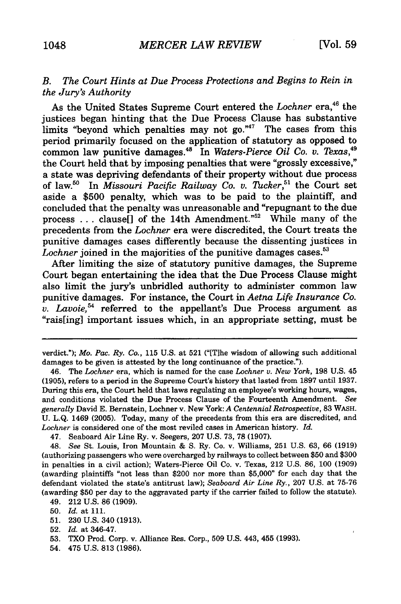#### *B. The Court Hints at Due Process Protections and Begins to Rein in the Jury's Authority*

As the United States Supreme Court entered the *Lochner* era,<sup>46</sup> the justices began hinting that the Due Process Clause has substantive limits "beyond which penalties may not go."<sup>47</sup> The cases from this period primarily focused on the application of statutory as opposed to common law punitive damages.<sup>48</sup> In *Waters-Pierce Oil Co. v. Texas*,<sup>49</sup> the Court held that by imposing penalties that were "grossly excessive," a state was depriving defendants of their property without due process of law.50 In *Missouri Pacific Railway Co. v. Tucker,5'* the Court set aside a \$500 penalty, which was to be paid to the plaintiff, and concluded that the penalty was unreasonable and "repugnant to the due process ... clause[] of the 14th Amendment."<sup>52</sup> While many of the precedents from the *Lochner* era were discredited, the Court treats the punitive damages cases differently because the dissenting justices in Lochner joined in the majorities of the punitive damages cases.<sup>53</sup>

After limiting the size of statutory punitive damages, the Supreme Court began entertaining the idea that the Due Process Clause might also limit the jury's unbridled authority to administer common law punitive damages. For instance, the Court in *Aetna Life Insurance Co. v. Lavoie*,<sup>54</sup> referred to the appellant's Due Process argument as "rais[ing] important issues which, in an appropriate setting, must be

47. Seaboard Air Line Ry. v. Seegers, 207 U.S. 73, 78 (1907).

48. *See* St. Louis, Iron Mountain & S. Ry. Co. v. Williams, 251 U.S. 63, 66 (1919) (authorizing passengers who were overcharged by railways to collect between \$50 and \$300 in penalties in a civil action); Waters-Pierce Oil Co. v. Texas, 212 U.S. 86, 100 (1909) (awarding plaintiffs "not less than \$200 nor more than \$5,000" for each day that the defendant violated the state's antitrust law); *Seaboard Air Line Ry.,* 207 U.S. at 75-76 (awarding \$50 per day to the aggravated party if the carrier failed to follow the statute).

51. 230 U.S. 340 **(1913).**

53. TXO Prod. Corp. v. Alliance Res. Corp., 509 U.S. 443, 455 (1993).

verdict."); *Mo. Pac. Ry. Co.,* 115 U.S. at 521 ("[Tlhe wisdom of allowing such additional damages to be given is attested by the long continuance of the practice.").

<sup>46.</sup> The *Lochner* era, which is named for the case *Lochner v. New York,* 198 U.S. 45 (1905), refers to a period in the Supreme Court's history that lasted from 1897 until 1937. During this era, the Court held that laws regulating an employee's working hours, wages, and conditions violated the Due Process Clause of the Fourteenth Amendment. *See generally* David E. Bernstein, Lochner v. New York: *A Centennial Retrospective,* 83 WASH. U. L.Q. 1469 (2005). Today, many of the precedents from this era are discredited, and *Lochner* is considered one of the most reviled cases in American history. *Id.*

<sup>49. 212</sup> U.S. 86 (1909).

**<sup>50.</sup>** *Id.* at 111.

<sup>52.</sup> *Id.* at 346-47.

<sup>54. 475</sup> U.S. 813 (1986).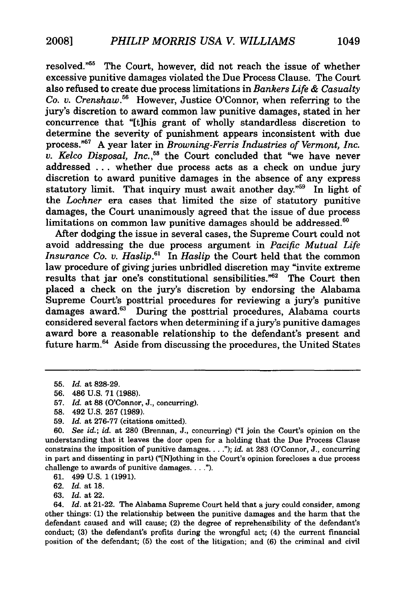resolved."<sup>55</sup> The Court, however, did not reach the issue of whether excessive punitive damages violated the Due Process Clause. The Court also refused to create due process limitations in *Bankers Life & Casualty Co. v. Crenshaw.56* However, Justice O'Connor, when referring to the jury's discretion to award common law punitive damages, stated in her concurrence that "[tihis grant of wholly standardless discretion to determine the severity of punishment appears inconsistent with due process."<sup>57</sup> A year later in *Browning-Ferris Industries of Vermont, Inc. v. Kelco Disposal, Inc.,58* the Court concluded that "we have never addressed ... whether due process acts as a check on undue jury discretion to award punitive damages in the absence of any express statutory limit. That inquiry must await another day."<sup>59</sup> In light of the *Lochner* era cases that limited the size of statutory punitive damages, the Court unanimously agreed that the issue of due process limitations on common law punitive damages should be addressed. $60$ 

After dodging the issue in several cases, the Supreme Court could not avoid addressing the due process argument in *Pacific Mutual Life Insurance Co. v. Haslip.6 <sup>1</sup>*In *Haslip* the Court held that the common law procedure of giving juries unbridled discretion may "invite extreme results that jar one's constitutional sensibilities." $62$  The Court then placed a check on the jury's discretion **by** endorsing the Alabama Supreme Court's posttrial procedures for reviewing a jury's punitive damages award.<sup>63</sup> During the posttrial procedures, Alabama courts considered several factors when determining if a jury's punitive damages award bore a reasonable relationship to the defendant's present and future harm.<sup>64</sup> Aside from discussing the procedures, the United States

**58.** 492 **U.S. 257 (1989).**

**59.** *Id.* at **276-77** (citations omitted).

**60.** *See id.; id.* at **280** (Brennan, **J.,** concurring) **("I** join the Court's opinion on the understanding that it leaves the door open for a holding that the Due Process Clause constrains the imposition of punitive damages.. . **.");** *id.* at **283** (O'Connor, **J.,** concurring in part and dissenting in part) ("[Nlothing in the Court's opinion forecloses a due process challenge to awards of punitive damages. . . .").

**61.** 499 **U.S. 1 (1991).**

**62.** *Id.* at **18.**

**63.** *Id.* at 22.

64. *Id.* at 21-22. The Alabama Supreme Court held that a jury could consider, among other things: (1) the relationship between the punitive damages and the harm that the defendant caused and will cause; (2) the degree of reprehensibility of the defendant's conduct; **(3)** the defendant's profits during the wrongful act; (4) the current financial position of the defendant; **(5)** the cost of the litigation; and (6) the criminal and civil

**<sup>55.</sup>** *Id.* at **828-29.**

**<sup>56.</sup>** 486 **U.S. 71 (1988).**

**<sup>57.</sup>** *Id.* at **88** (O'Connor, **J.,** concurring).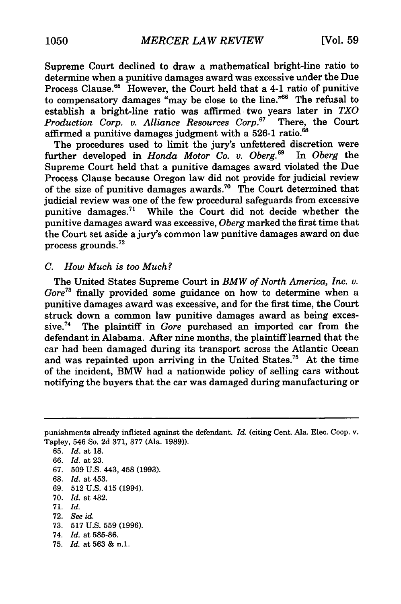Supreme Court declined to draw a mathematical bright-line ratio to determine when a punitive damages award was excessive under the Due Process Clause.<sup>65</sup> However, the Court held that a 4-1 ratio of punitive to compensatory damages "may be close to the line."<sup>66</sup> The refusal to establish a bright-line ratio was affirmed two years later in *TXO* Production Corp. v. Alliance Resources Corp.<sup>67</sup> There, the Court affirmed a punitive damages judgment with a 526-1 ratio.<sup>68</sup>

The procedures used to limit the jury's unfettered discretion were further developed in *Honda Motor Co. v. Oberg.69* In *Oberg* the Supreme Court held that a punitive damages award violated the Due Process Clause because Oregon law did not provide for judicial review of the size of punitive damages awards."0 The Court determined that judicial review was one of the few procedural safeguards from excessive punitive damages.<sup>71</sup> While the Court did not decide whether the punitive damages award was excessive, *Oberg* marked the first time that the Court set aside a jury's common law punitive damages award on due process grounds.72

#### *C. How Much is too Much?*

The United States Supreme Court in *BMW of North America, Inc.* v. *Gore73* finally provided some guidance on how to determine when a punitive damages award was excessive, and for the first time, the Court struck down a common law punitive damages award as being excessive.74 The plaintiff in *Gore* purchased an imported car from the defendant in Alabama. After nine months, the plaintiff learned that the car had been damaged during its transport across the Atlantic Ocean and was repainted upon arriving in the United States.75 At the time of the incident, BMW had a nationwide policy of selling cars without notifying the buyers that the car was damaged during manufacturing or

- 67. 509 U.S. 443, 458 (1993).
- 68. *Id.* at 453.
- 69. 512 U.S. 415 (1994).
- 70. *Id.* at 432.
- 71. *Id.*
- 72. *See id.*
- 73. 517 U.S. 559 (1996).
- 74. *Id.* at 585-86.
- 75. *Id.* at 563 & n.1.

punishments already inflicted against the defendant. *Id.* (citing Cent. Ala. Elec. Coop. v. Tapley, 546 So. 2d 371, 377 (Ala. 1989)).

<sup>65.</sup> *Id.* at 18.

<sup>66.</sup> *Id.* at 23.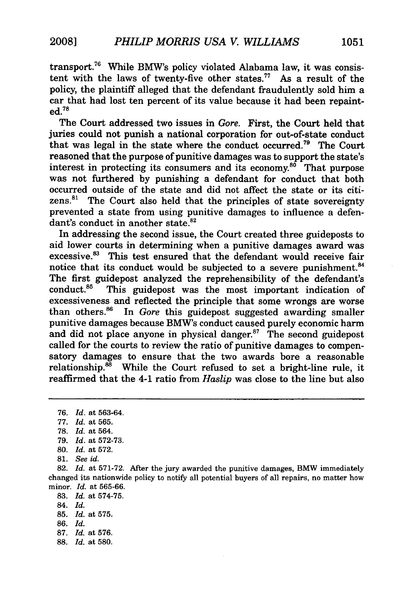transport.76 While BMW's policy violated Alabama law, it was consistent with the laws of twenty-five other states.77 As a result of the policy, the plaintiff alleged that the defendant fraudulently sold him a car that had lost ten percent of its value because it had been repaint**ed.78**

The Court addressed two issues in *Gore.* First, the Court held that juries could not punish a national corporation for out-of-state conduct that was legal in the state where the conduct occurred.<sup>79</sup> The Court reasoned that the purpose of punitive damages was to support the state's interest in protecting its consumers and its economy. $80$  That purpose was not furthered by punishing a defendant for conduct that both occurred outside of the state and did not affect the state or its citizens.<sup>81</sup> The Court also held that the principles of state sovereignty prevented a state from using punitive damages to influence a defendant's conduct in another state.<sup>82</sup>

In addressing the second issue, the Court created three guideposts to aid lower courts in determining when a punitive damages award was excessive.<sup>83</sup> This test ensured that the defendant would receive fair notice that its conduct would be subjected to a severe punishment.<sup>84</sup> The first guidepost analyzed the reprehensibility of the defendant's conduct. $85$  This guidepost was the most important indication of excessiveness and reflected the principle that some wrongs are worse than others.<sup>86</sup> In *Gore* this guidepost suggested awarding smaller punitive damages because BMW's conduct caused purely economic harm and did not place anyone in physical danger. $87$  The second guidepost called for the courts to review the ratio of punitive damages to compensatory damages to ensure that the two awards bore a reasonable relationship. $88$  While the Court refused to set a bright-line rule, it reaffirmed that the 4-1 ratio from *Haslip* was close to the line but also

79. *Id.* at 572-73.

81. *See id.*

- 84. *Id.*
- 85. *Id.* at 575.
- 86. *Id.*
- 87. *Id.* at 576.
- 88. *Id.* at 580.

<sup>76.</sup> *Id.* at 563-64.

<sup>77.</sup> *Id.* at 565.

<sup>78.</sup> *Id.* at 564.

<sup>80.</sup> *Id.* at 572.

<sup>82.</sup> *Id.* at 571-72. After the jury awarded the punitive damages, BMW immediately changed its nationwide policy to notify all potential buyers of all repairs, no matter how minor. *Id.* at 565-66.

<sup>83.</sup> *Id.* at 574-75.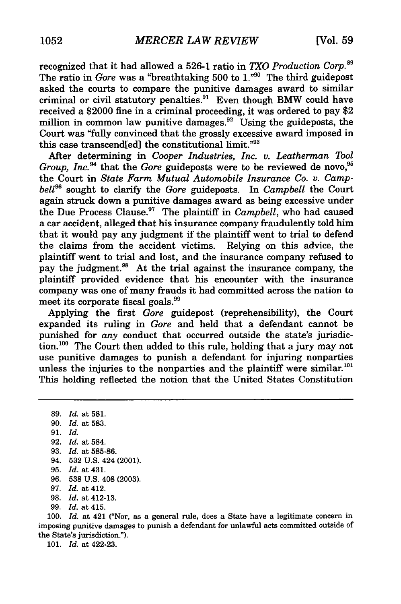recognized that it had allowed a 526-1 ratio in *TXO Production Corp.9* The ratio in *Gore* was a "breathtaking 500 to 1."<sup>90</sup> The third guidepost asked the courts to compare the punitive damages award to similar criminal or civil statutory penalties.<sup>91</sup> Even though BMW could have received a \$2000 fine in a criminal proceeding, it was ordered to pay \$2 million in common law punitive damages.<sup>92</sup> Using the guideposts, the Court was "fully convinced that the grossly excessive award imposed in this case transcend[ed] the constitutional limit."93

After determining in *Cooper Industries, Inc. v. Leatherman Tool Group, Inc.*<sup>94</sup> that the *Gore* guideposts were to be reviewed de novo,<sup>95</sup> the Court in *State Farm Mutual Automobile Insurance Co. v. Campbell<sup>96</sup>*sought to clarify the *Gore* guideposts. In *Campbell* the Court again struck down a punitive damages award as being excessive under the Due Process Clause.97 The plaintiff in *Campbell,* who had caused a car accident, alleged that his insurance company fraudulently told him that it would pay any judgment if the plaintiff went to trial to defend the claims from the accident victims. Relying on this advice, the plaintiff went to trial and lost, and the insurance company refused to pay the judgment.<sup>98</sup> At the trial against the insurance company, the plaintiff provided evidence that his encounter with the insurance company was one of many frauds it had committed across the nation to meet its corporate fiscal goals.<sup>99</sup>

Applying the first *Gore* guidepost (reprehensibility), the Court expanded its ruling in *Gore* and held that a defendant cannot be punished for *any* conduct that occurred outside the state's jurisdiction.<sup>100</sup> The Court then added to this rule, holding that a jury may not use punitive damages to punish a defendant for injuring nonparties unless the injuries to the nonparties and the plaintiff were similar.<sup>1</sup> This holding reflected the notion that the United States Constitution

91. *Id.*

94. 532 U.S. 424 (2001).

99. *Id.* at 415.

100. *Id.* at 421 ("Nor, as a general rule, does a State have a legitimate concern in imposing punitive damages to punish a defendant for unlawful acts committed outside of the State's jurisdiction.").

101. *Id.* at 422-23.

<sup>89.</sup> *Id.* at 581.

<sup>90.</sup> *Id.* at 583.

<sup>92.</sup> *Id.* at 584.

<sup>93.</sup> *Id.* at 585-86.

<sup>95.</sup> *Id.* at 431.

<sup>96. 538</sup> U.S. 408 (2003).

<sup>97.</sup> *Id.* at 412.

<sup>98.</sup> *Id.* at 412-13.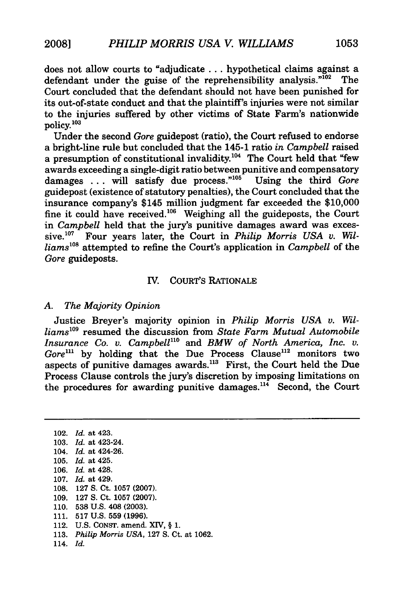does not allow courts to "adjudicate **...** hypothetical claims against a defendant under the guise of the reprehensibility analysis." $10^2$  The Court concluded that the defendant should not have been punished for its out-of-state conduct and that the plaintiff's injuries were not similar to the injuries suffered by other victims of State Farm's nationwide policy.<sup>103</sup>

Under the second *Gore* guidepost (ratio), the Court refused to endorse a bright-line rule but concluded that the 145-1 ratio *in Campbell* raised a presumption of constitutional invalidity.<sup>104</sup> The Court held that "few awards exceeding a single-digit ratio between punitive and compensatory damages ... will satisfy due process."<sup>105</sup> Using the third *Gore* guidepost (existence of statutory penalties), the Court concluded that the insurance company's \$145 million judgment far exceeded the \$10,000 fine it could have received.<sup>106</sup> Weighing all the guideposts, the Court in *Campbell* held that the jury's punitive damages award was excessive.<sup>107</sup> Four years later, the Court in *Philip Morris USA v. Williams0 <sup>8</sup>*attempted to refine the Court's application in *Campbell* of the *Gore* guideposts.

#### **IV.** COURT'S RATIONALE

#### *A. The Majority Opinion*

Justice Breyer's majority opinion in *Philip Morris USA v. Williams'0 <sup>9</sup>*resumed the discussion from *State Farm Mutual Automobile Insurance Co. v. Campbell"'* and *BMW of North America, Inc. v.* Gore<sup>111</sup> by holding that the Due Process Clause<sup>112</sup> monitors two aspects of punitive damages awards."' First, the Court held the Due Process Clause controls the jury's discretion by imposing limitations on the procedures for awarding punitive damages.<sup>114</sup> Second, the Court

102. *Id.* at 423. 103. *Id.* at 423-24. 104. *Id.* at 424-26. 105. *Id.* at 425. 106. *Id.* at 428. 107. *Id.* at 429. 108. 127 S. Ct. 1057 (2007). 109. 127 **S.** Ct. 1057 (2007). 110. **538** U.S. 408 (2003). 111. 517 U.S. 559 (1996). 112. U.S. CONST. amend. X1V, § 1. 113. *Philip Morris USA,* 127 S. Ct. at 1062. 114. *Id.*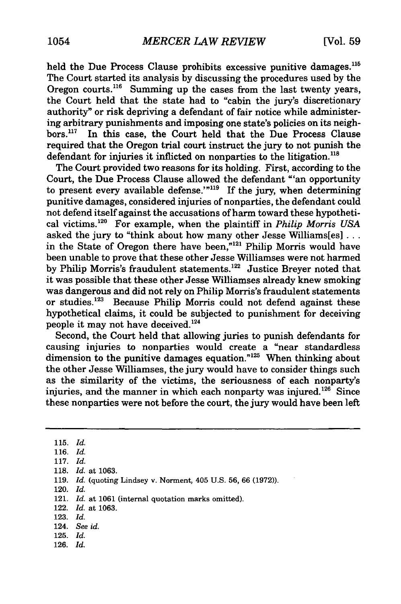held the Due Process Clause prohibits excessive punitive damages.<sup>115</sup> The Court started its analysis by discussing the procedures used by the Oregon courts.<sup>116</sup> Summing up the cases from the last twenty years, the Court held that the state had to "cabin the jury's discretionary authority" or risk depriving a defendant of fair notice while administering arbitrary punishments and imposing one state's policies on its neighbors.<sup>117</sup> In this case, the Court held that the Due Process Clause required that the Oregon trial court instruct the jury to not punish the defendant for injuries it inflicted on nonparties to the litigation.<sup>118</sup>

The Court provided two reasons for its holding. First, according to the Court, the Due Process Clause allowed the defendant "'an opportunity to present every available defense.'"<sup>119</sup> If the jury, when determining punitive damages, considered injuries of nonparties, the defendant could not defend itself against the accusations of harm toward these hypothetical victims. 20 For example, when the plaintiff in *Philip Morris USA* asked the jury to "think about how many other Jesse Williams[es]... in the State of Oregon there have been,"<sup>121</sup> Philip Morris would have been unable to prove that these other Jesse Williamses were not harmed by Philip Morris's fraudulent statements.<sup>122</sup> Justice Breyer noted that it was possible that these other Jesse Williamses already knew smoking was dangerous and did not rely on Philip Morris's fraudulent statements or studies.<sup>123</sup> Because Philip Morris could not defend against these hypothetical claims, it could be subjected to punishment for deceiving people it may not have deceived.<sup>124</sup>

Second, the Court held that allowing juries to punish defendants for causing injuries to nonparties would create a "near standardless dimension to the punitive damages equation."<sup>125</sup> When thinking about the other Jesse Williamses, the jury would have to consider things such as the similarity of the victims, the seriousness of each nonparty's injuries, and the manner in which each nonparty was injured.<sup>126</sup> Since these nonparties were not before the court, the jury would have been left

- 120. *Id.*
- 121. *Id.* at 1061 (internal quotation marks omitted).
- 122. *Id.* at 1063.
- 123. *Id.*
- 124. *See id.*
- 125. *Id.*
- 126. *Id.*

**<sup>115.</sup>** *Id.*

<sup>116.</sup> *Id.*

<sup>117.</sup> *Id.*

**<sup>118.</sup>** *Id.* at 1063.

<sup>119.</sup> *Id.* (quoting Lindsey v. Norment, 405 U.S. 56, 66 (1972)).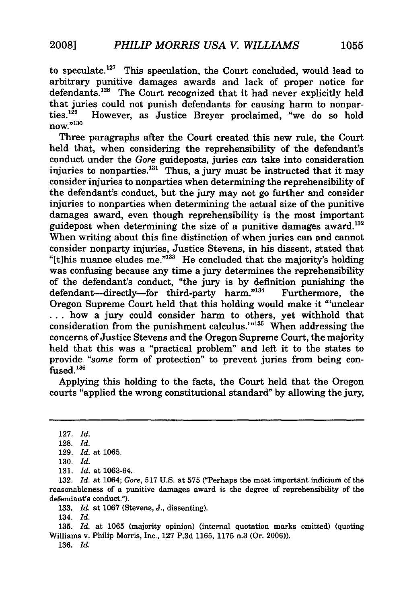to speculate.<sup>127</sup> This speculation, the Court concluded, would lead to arbitrary punitive damages awards and lack of proper notice for defendants.<sup>128</sup> The Court recognized that it had never explicitly held that juries could not punish defendants for causing harm to nonparties. 129 However, as Justice Breyer proclaimed, "we do so hold now."<sup>130</sup>

Three paragraphs after the Court created this new rule, the Court held that, when considering the reprehensibility of the defendant's conduct under the *Gore* guideposts, juries *can* take into consideration injuries to nonparties. $^{131}$  Thus, a jury must be instructed that it may consider injuries to nonparties when determining the reprehensibility of the defendant's conduct, but the jury may not go further and consider injuries to nonparties when determining the actual size of the punitive damages award, even though reprehensibility is the most important guidepost when determining the size of a punitive damages award.<sup>132</sup> When writing about this fine distinction of when juries can and cannot consider nonparty injuries, Justice Stevens, in his dissent, stated that "[t]his nuance eludes me."<sup>133</sup> He concluded that the majority's holding was confusing because any time a jury determines the reprehensibility of the defendant's conduct, "the jury is **by** definition punishing the defendant--directly-for third-party harm."<sup>134</sup> Furthermore, the Oregon Supreme Court held that this holding would make it "'unclear **...** how a jury could consider harm to others, yet withhold that consideration from the punishment calculus."<sup>135</sup> When addressing the concerns of Justice Stevens and the Oregon Supreme Court, the majority held that this was a "practical problem" and left it to the states to provide *"some* form of protection" to prevent juries from being con $fused.<sup>136</sup>$ 

Applying this holding to the facts, the Court held that the Oregon courts "applied the wrong constitutional standard" **by** allowing the jury,

133. *Id.* at 1067 (Stevens, J., dissenting).

134. *Id.*

135. *Id.* at 1065 (majority opinion) (internal quotation marks omitted) (quoting Williams v. Philip Morris, Inc., **127** P.3d 1165, 1175 n.3 (Or. 2006)).

136. *Id.*

**<sup>127.</sup>** *Id.*

<sup>128.</sup> *Id.*

<sup>129.</sup> *Id.* at 1065.

<sup>130.</sup> *Id.*

<sup>131.</sup> *Id.* at 1063-64.

<sup>132.</sup> *Id.* at 1064; Gore, 517 U.S. at 575 ("Perhaps the most important indicium **of** the reasonableness of a punitive damages award is the degree of reprehensibility of the defendant's conduct.").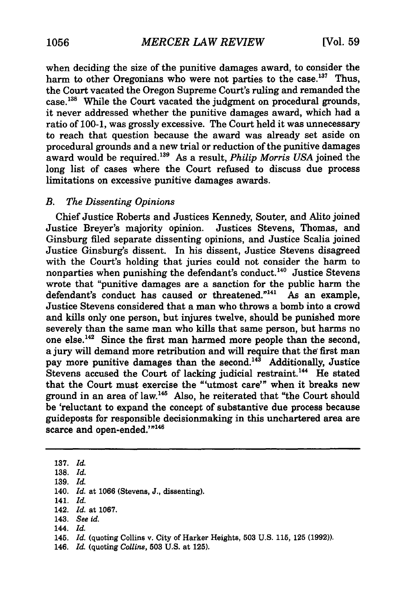when deciding the size of the punitive damages award, to consider the harm to other Oregonians who were not parties to the case.<sup>137</sup> Thus, the Court vacated the Oregon Supreme Court's ruling and remanded the case.<sup>138</sup> While the Court vacated the judgment on procedural grounds, it never addressed whether the punitive damages award, which had a ratio of 100-1, was grossly excessive. The Court held it was unnecessary to reach that question because the award was already set aside on procedural grounds and a new trial or reduction of the punitive damages award would be required.'39 As a result, *Philip Morris USA* joined the long list of cases where the Court refused to discuss due process limitations on excessive punitive damages awards.

#### *B. The Dissenting Opinions*

Chief Justice Roberts and Justices Kennedy, Souter, and Alito joined Justice Breyer's majority opinion. Justices Stevens, Thomas, and Ginsburg filed separate dissenting opinions, and Justice Scalia joined Justice Ginsburg's dissent. In his dissent, Justice Stevens disagreed with the Court's holding that juries could not consider the harm to nonparties when punishing the defendant's conduct.<sup>140</sup> Justice Stevens wrote that "punitive damages are a sanction for the public harm the defendant's conduct has caused or threatened."<sup>141</sup> As an example, Justice Stevens considered that a man who throws a bomb into a crowd and kills only one person, but injures twelve, should be punished more severely than the same man who kills that same person, but harms no one else.'42 Since the first man harmed more people than the second, a jury will demand more retribution and will require that **the'** first man pay more punitive damages than the second.<sup>143</sup> Additionally, Justice Stevens accused the Court of lacking judicial restraint.<sup>144</sup> He stated that the Court must exercise the "'utmost care'" when it breaks new ground in an area of law.145 Also, he reiterated that "the Court should be 'reluctant to expand the concept of substantive due process because guideposts for responsible decisionmaking in this unchartered area are scarce and open-ended.'"<sup>146</sup>

**137.** *Id.*

141. *Id.*

- 143. *See id.*
- 144. *Id.*

146. *Id.* (quoting *Collins,* **503** U.S. at **125).**

**<sup>138.</sup>** *Id.*

<sup>139.</sup> *Id.*

<sup>140.</sup> *Id.* at 1066 (Stevens, J., dissenting).

<sup>142.</sup> *Id.* at 1067.

<sup>145.</sup> *Id.* (quoting Collins v. City of Harker Heights, **503** U.S. 115, 125 **(1992)).**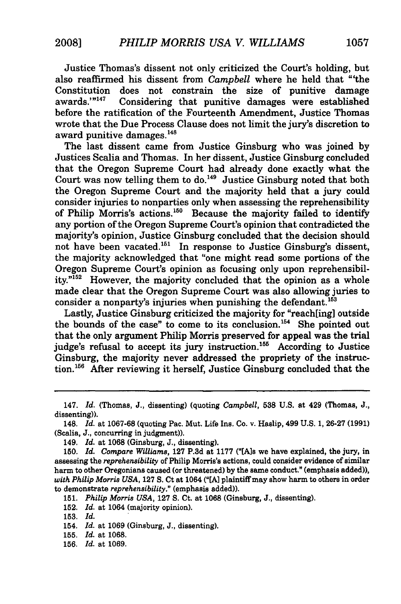Justice Thomas's dissent not only criticized the Court's holding, but also reaffirmed his dissent from *Campbell* where he held that "'the Constitution does not constrain the size of punitive damage awards. $n_{147}$  Considering that punitive damages were established Considering that punitive damages were established before the ratification of the Fourteenth Amendment, Justice Thomas wrote that the Due Process Clause does not limit the jury's discretion to award punitive damages.<sup>148</sup>

The last dissent came from Justice Ginsburg who was joined by Justices Scalia and Thomas. In her dissent, Justice Ginsburg concluded that the Oregon Supreme Court had already done exactly what the Court was now telling them to do.<sup>149</sup> Justice Ginsburg noted that both the Oregon Supreme Court and the majority held that a jury could consider injuries to nonparties only when assessing the reprehensibility of Philip Morris's actions.<sup>150</sup> Because the majority failed to identify any portion of the Oregon Supreme Court's opinion that contradicted the majority's opinion, Justice Ginsburg concluded that the decision should not have been vacated.<sup>151</sup> In response to Justice Ginsburg's dissent, the majority acknowledged that "one might read some portions of the Oregon Supreme Court's opinion as focusing only upon reprehensibility."<sup>152</sup> However, the majority concluded that the opinion as a whole made clear that the Oregon Supreme Court was also allowing juries to consider a nonparty's injuries when punishing the defendant.<sup>153</sup>

Lastly, Justice Ginsburg criticized the majority for "reach[ing] outside the bounds of the case" to come to its conclusion.<sup>154</sup> She pointed out that the only argument Philip Morris preserved for appeal was the trial judge's refusal to accept its jury instruction.<sup>155</sup> According to Justice Ginsburg, the majority never addressed the propriety of the instruction.'56 After reviewing it herself, Justice Ginsburg concluded that the

**151.** *Philip Morris USA,* **127 S.** Ct. at **1068** (Ginsburg, **J.,** dissenting).

**152.** *Id.* at 1064 (majority opinion).

153. *Id.*

154. *Id.* at 1069 (Ginsburg, J., dissenting).

155. *Id.* at 1068.

<sup>147.</sup> *Id.* (Thomas, **J.,** dissenting) (quoting *Campbell,* **538 U.S.** at 429 (Thomas, **J.,** dissenting)).

<sup>148.</sup> *Id.* at **1067-68** (quoting Pac. Mut. Life Ins. Co. v. Haslip, 499 **U.S. 1, 26-27 (1991)** (Scalia, **J.,** concurring in judgment)).

<sup>149.</sup> *Id.* at **1068** (Ginsburg, **J.,** dissenting).

**<sup>150.</sup>** *Id. Compare Williams,* **127 P.3d** at **1177** ("[Als we have explained, the jury, in assessing the *reprehensibility* of Philip Morris's actions, could consider evidence of similar harm to other Oregonians caused (or threatened) **by** the same conduct." (emphasis added)), *with Philip Morris USA,* **127 S.** Ct at 1064 **("[A]** plaintiff may show harm to others in order to demonstrate *reprehensibility."* (emphasis added)).

<sup>156.</sup> *Id.* at 1069.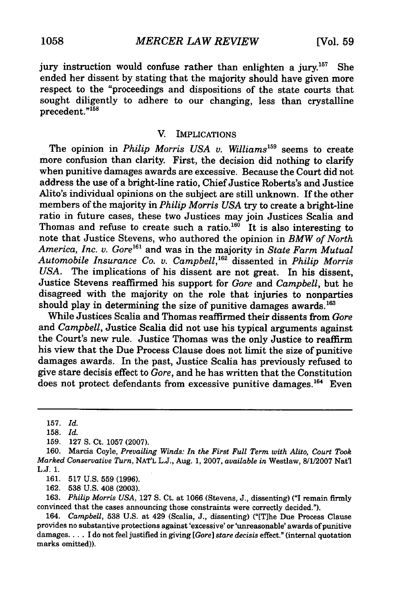jury instruction would confuse rather than enlighten a jury.<sup>157</sup> She ended her dissent **by** stating that the majority should have given more respect to the "proceedings and dispositions of the state courts that sought diligently to adhere to our changing, less than crystalline precedent."<sup>158</sup>

#### V. IMPLICATIONS

The opinion in *Philip Morris USA v. Williams*<sup>159</sup> seems to create more confusion than clarity. First, the decision did nothing to clarify when punitive damages awards are excessive. Because the Court did not address the use of a bright-line ratio, Chief Justice Roberts's and Justice Alito's individual opinions on the subject are still unknown. If the other members of the majority in *Philip Morris USA* try to create a bright-line ratio in future cases, these two Justices may join Justices Scalia and Thomas and refuse to create such a ratio.<sup>160</sup> It is also interesting to note that Justice Stevens, who authored the opinion in *BMW of North America, Inc. v. Gore'6 '* and was in the majority in *State Farm Mutual Automobile Insurance Co.* v. *Campbell,16'* dissented in *Philip Morris USA.* The implications of his dissent are not great. In his dissent, Justice Stevens reaffirmed his support for *Gore* and *Campbell,* but he disagreed with the majority on the role that injuries to nonparties should play in determining the size of punitive damages awards.<sup>163</sup>

While Justices Scalia and Thomas reaffirmed their dissents from *Gore* and *Campbell,* Justice Scalia did not use his typical arguments against the Court's new rule. Justice Thomas was the only Justice to reaffirm his view that the Due Process Clause does not limit the size of punitive damages awards. In the past, Justice Scalia has previously refused to give stare decisis effect to *Gore,* and he has written that the Constitution does not protect defendants from excessive punitive damages.<sup>164</sup> Even

161. **517** U.S. 559 (1996).

162. 538 U.S. 408 (2003).

163. *Philip Morris USA,* 127 S. Ct. at 1066 (Stevens, J., dissenting) **("I** remain firmly convinced that the cases announcing those constraints were correctly decided.").

164. *Campbell,* 538 U.S. at 429 (Scalia, J., dissenting) ("[T]he Due Process Clause provides no substantive protections against 'excessive' or 'unreasonable' awards of punitive damages.... I do not feel justified in giving *[Gore] stare decisis* effect." (internal quotation marks omitted)).

<sup>157.</sup> *Id.*

**<sup>158.</sup>** *Id.*

<sup>159. 127</sup> S. Ct. 1057 (2007).

<sup>160.</sup> Marcia Coyle, *Prevailing Winds: In the First Full Term with Alito, Court Took Marked Conservative* Turn, NAT'L L.J., Aug. 1, 2007, *available in* Westlaw, 8/1/2007 Nat'l L.J. 1.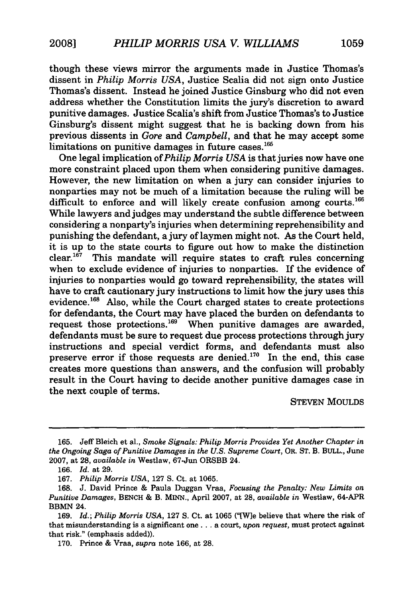though these views mirror the arguments made in Justice Thomas's dissent in *Philip Morris USA,* Justice Scalia did not sign onto Justice Thomas's dissent. Instead he joined Justice Ginsburg who did not even address whether the Constitution limits the jury's discretion to award punitive damages. Justice Scalia's shift from Justice Thomas's to Justice Ginsburg's dissent might suggest that he is backing down from his previous dissents in *Gore* and *Campbell,* and that he may accept some limitations on punitive damages in future cases.<sup>165</sup>

One legal implication of *Philip Morris USA* is that juries now have one more constraint placed upon them when considering punitive damages. However, the new limitation on when a jury can consider injuries to nonparties may not be much of a limitation because the ruling will be difficult to enforce and will likely create confusion among courts.<sup>166</sup> While lawyers and judges may understand the subtle difference between considering a nonparty's injuries when determining reprehensibility and punishing the defendant, a jury of laymen might not. As the Court held, it is up to the state courts to figure out how to make the distinction  $clear.<sup>167</sup>$  This mandate will require states to craft rules concerning when to exclude evidence of injuries to nonparties. If the evidence of injuries to nonparties would go toward reprehensibility, the states will have to craft cautionary jury instructions to limit how the jury uses this evidence.<sup>168</sup> Also, while the Court charged states to create protections for defendants, the Court may have placed the burden on defendants to request those protections.<sup>169</sup> When punitive damages are awarded, defendants must be sure to request due process protections through jury instructions and special verdict forms, and defendants must also preserve error if those requests are denied. $170$  In the end, this case creates more questions than answers, and the confusion will probably result in the Court having to decide another punitive damages case in the next couple of terms.

#### STEVEN MOULDS

<sup>165.</sup> Jeff Bleich et al., *Smoke Signals: Philip Morris Provides Yet Another Chapter in the Ongoing Saga of Punitive Damages in the U.S. Supreme Court,* OR. ST. B. BULL., June 2007, at 28, *available in* Westlaw, 67-Jun ORSBB 24.

<sup>166.</sup> *Id.* at 29.

<sup>167.</sup> *Philip Morris USA,* 127 S. Ct. at 1065.

<sup>168.</sup> J. David Prince & Paula Duggan Vraa, *Focusing the Penalty: New Limits on Punitive Damages,* BENCH & B. MINN., April 2007, at 28, *available in* Westlaw, 64-APR BBMN 24.

<sup>169.</sup> *Id.; Philip Morris USA,* 127 S. Ct. at 1065 ("[Wle believe that where the risk of that misunderstanding is a significant one.., a court, *upon request,* must protect against that risk." (emphasis added)).

<sup>170.</sup> Prince & Vraa, *supra* note 166, at 28.